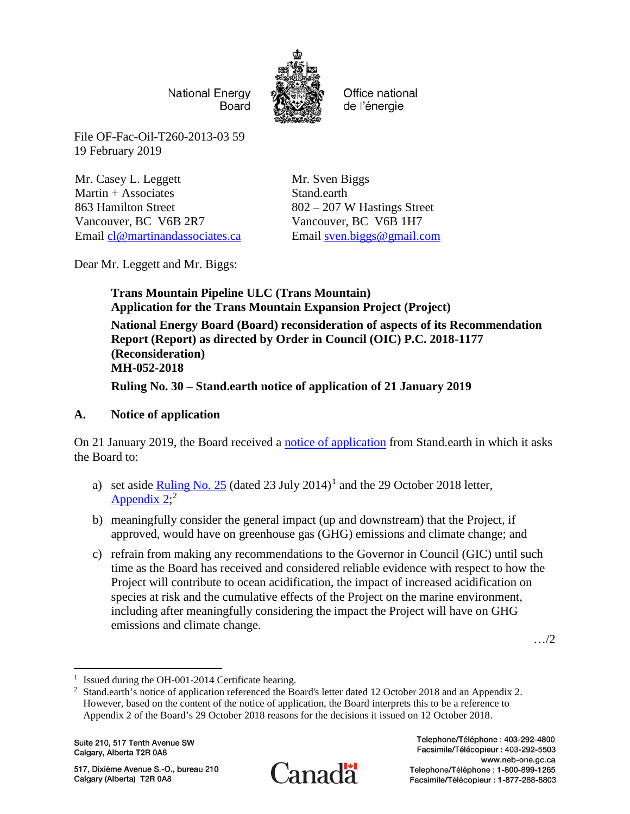**National Energy** Board



Office national de l'énergie

File OF-Fac-Oil-T260-2013-03 59 19 February 2019

Mr. Casey L. Leggett Martin + Associates 863 Hamilton Street Vancouver, BC V6B 2R7 Email [cl@martinandassociates.ca](mailto:cl@martinandassociates.ca)

Mr. Sven Biggs Stand.earth 802 – 207 W Hastings Street Vancouver, BC V6B 1H7 Email [sven.biggs@gmail.com](mailto:sven.biggs@gmail.com)

Dear Mr. Leggett and Mr. Biggs:

**Trans Mountain Pipeline ULC (Trans Mountain) Application for the Trans Mountain Expansion Project (Project) National Energy Board (Board) reconsideration of aspects of its Recommendation Report (Report) as directed by Order in Council (OIC) P.C. 2018-1177 (Reconsideration) MH-052-2018 Ruling No. 30 – Stand.earth notice of application of 21 January 2019**

# **A. Notice of application**

On 21 January 2019, the Board received a [notice of application](https://apps.neb-one.gc.ca/REGDOCS/Item/View/3747765) from Stand.earth in which it asks the Board to:

- a) set aside  $\frac{\text{Ruling No. 25}}{\text{(dated 23 July 2014)}^1}$  $\frac{\text{Ruling No. 25}}{\text{(dated 23 July 2014)}^1}$  $\frac{\text{Ruling No. 25}}{\text{(dated 23 July 2014)}^1}$  and the 29 October 2018 letter, [Appendix](https://apps.neb-one.gc.ca/REGDOCS/File/Download/3643536)  $2$ ;<sup>2</sup>
- b) meaningfully consider the general impact (up and downstream) that the Project, if approved, would have on greenhouse gas (GHG) emissions and climate change; and
- c) refrain from making any recommendations to the Governor in Council (GIC) until such time as the Board has received and considered reliable evidence with respect to how the Project will contribute to ocean acidification, the impact of increased acidification on species at risk and the cumulative effects of the Project on the marine environment, including after meaningfully considering the impact the Project will have on GHG emissions and climate change.

…/2

Suite 210, 517 Tenth Avenue SW Calgary, Alberta T2R 0A8

517, Dixième Avenue S.-O., bureau 210 Calgary (Alberta) T2R 0A8



<span id="page-0-0"></span> $\overline{a}$ <sup>1</sup> Issued during the OH-001-2014 Certificate hearing.

<span id="page-0-1"></span><sup>&</sup>lt;sup>2</sup> Stand.earth's notice of application referenced the Board's letter dated 12 October 2018 and an Appendix 2. However, based on the content of the notice of application, the Board interprets this to be a reference to Appendix 2 of the Board's 29 October 2018 reasons for the decisions it issued on 12 October 2018.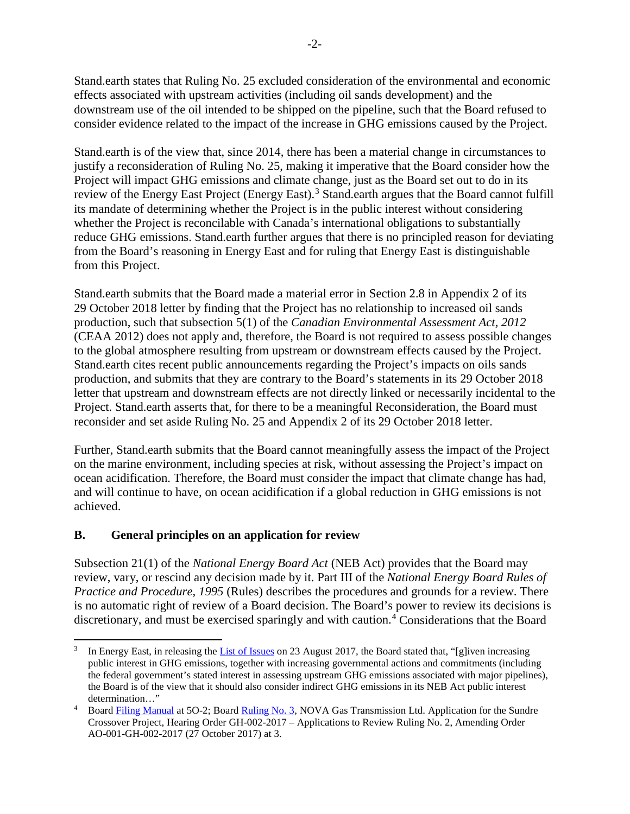Stand.earth states that Ruling No. 25 excluded consideration of the environmental and economic effects associated with upstream activities (including oil sands development) and the downstream use of the oil intended to be shipped on the pipeline, such that the Board refused to consider evidence related to the impact of the increase in GHG emissions caused by the Project.

Stand.earth is of the view that, since 2014, there has been a material change in circumstances to justify a reconsideration of Ruling No. 25, making it imperative that the Board consider how the Project will impact GHG emissions and climate change, just as the Board set out to do in its review of the Energy East Project (Energy East).<sup>[3](#page-1-0)</sup> Stand.earth argues that the Board cannot fulfill its mandate of determining whether the Project is in the public interest without considering whether the Project is reconcilable with Canada's international obligations to substantially reduce GHG emissions. Stand.earth further argues that there is no principled reason for deviating from the Board's reasoning in Energy East and for ruling that Energy East is distinguishable from this Project.

Stand.earth submits that the Board made a material error in Section 2.8 in Appendix 2 of its 29 October 2018 letter by finding that the Project has no relationship to increased oil sands production, such that subsection 5(1) of the *Canadian Environmental Assessment Act, 2012* (CEAA 2012) does not apply and, therefore, the Board is not required to assess possible changes to the global atmosphere resulting from upstream or downstream effects caused by the Project. Stand.earth cites recent public announcements regarding the Project's impacts on oils sands production, and submits that they are contrary to the Board's statements in its 29 October 2018 letter that upstream and downstream effects are not directly linked or necessarily incidental to the Project. Stand.earth asserts that, for there to be a meaningful Reconsideration, the Board must reconsider and set aside Ruling No. 25 and Appendix 2 of its 29 October 2018 letter.

Further, Stand.earth submits that the Board cannot meaningfully assess the impact of the Project on the marine environment, including species at risk, without assessing the Project's impact on ocean acidification. Therefore, the Board must consider the impact that climate change has had, and will continue to have, on ocean acidification if a global reduction in GHG emissions is not achieved.

## **B. General principles on an application for review**

Subsection 21(1) of the *National Energy Board Act* (NEB Act) provides that the Board may review, vary, or rescind any decision made by it. Part III of the *National Energy Board Rules of Practice and Procedure, 1995* (Rules) describes the procedures and grounds for a review. There is no automatic right of review of a Board decision. The Board's power to review its decisions is discretionary, and must be exercised sparingly and with caution.<sup>[4](#page-1-1)</sup> Considerations that the Board

<span id="page-1-0"></span>l In Energy East, in releasing th[e List of Issues](https://apps.neb-one.gc.ca/REGDOCS/Item/View/3322976) on 23 August 2017, the Board stated that, "[g]iven increasing public interest in GHG emissions, together with increasing governmental actions and commitments (including the federal government's stated interest in assessing upstream GHG emissions associated with major pipelines), the Board is of the view that it should also consider indirect GHG emissions in its NEB Act public interest determination…"

<span id="page-1-1"></span><sup>&</sup>lt;sup>4</sup> Boar[d Filing Manual](http://www.neb-one.gc.ca/bts/ctrg/gnnb/flngmnl/fmgdo-eng.html) at 5O-2; Boar[d Ruling No. 3,](https://apps.neb-one.gc.ca/REGDOCS/Item/View/3349814) NOVA Gas Transmission Ltd. Application for the Sundre Crossover Project, Hearing Order GH-002-2017 – Applications to Review Ruling No. 2, Amending Order AO-001-GH-002-2017 (27 October 2017) at 3.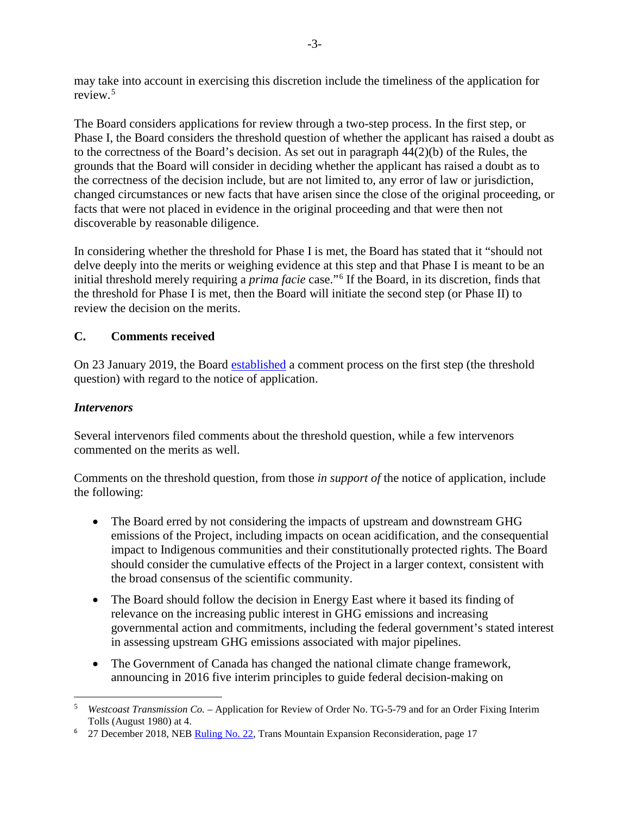may take into account in exercising this discretion include the timeliness of the application for review.<sup>[5](#page-2-0)</sup>

The Board considers applications for review through a two-step process. In the first step, or Phase I, the Board considers the threshold question of whether the applicant has raised a doubt as to the correctness of the Board's decision. As set out in paragraph 44(2)(b) of the Rules, the grounds that the Board will consider in deciding whether the applicant has raised a doubt as to the correctness of the decision include, but are not limited to, any error of law or jurisdiction, changed circumstances or new facts that have arisen since the close of the original proceeding, or facts that were not placed in evidence in the original proceeding and that were then not discoverable by reasonable diligence.

In considering whether the threshold for Phase I is met, the Board has stated that it "should not delve deeply into the merits or weighing evidence at this step and that Phase I is meant to be an initial threshold merely requiring a *prima facie* case."[6](#page-2-1) If the Board, in its discretion, finds that the threshold for Phase I is met, then the Board will initiate the second step (or Phase II) to review the decision on the merits.

## **C. Comments received**

On 23 January 2019, the Board [established](https://apps.neb-one.gc.ca/REGDOCS/Item/View/3747558) a comment process on the first step (the threshold question) with regard to the notice of application.

## *Intervenors*

 $\overline{\phantom{a}}$ 

Several intervenors filed comments about the threshold question, while a few intervenors commented on the merits as well.

Comments on the threshold question, from those *in support of* the notice of application, include the following:

- The Board erred by not considering the impacts of upstream and downstream GHG emissions of the Project, including impacts on ocean acidification, and the consequential impact to Indigenous communities and their constitutionally protected rights. The Board should consider the cumulative effects of the Project in a larger context, consistent with the broad consensus of the scientific community.
- The Board should follow the decision in Energy East where it based its finding of relevance on the increasing public interest in GHG emissions and increasing governmental action and commitments, including the federal government's stated interest in assessing upstream GHG emissions associated with major pipelines.
- The Government of Canada has changed the national climate change framework, announcing in 2016 five interim principles to guide federal decision-making on

<span id="page-2-0"></span><sup>5</sup> *Westcoast Transmission Co.* – Application for Review of Order No. TG-5-79 and for an Order Fixing Interim Tolls (August 1980) at 4.

<span id="page-2-1"></span><sup>&</sup>lt;sup>6</sup> 27 December 2018, NEB [Ruling No. 22,](https://apps.neb-one.gc.ca/REGDOCS/Item/View/3745011) Trans Mountain Expansion Reconsideration, page 17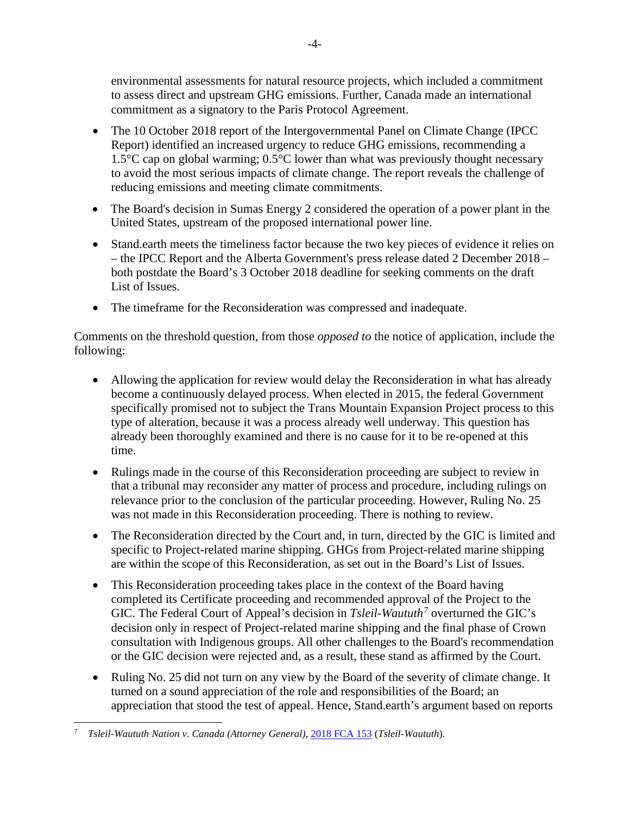environmental assessments for natural resource projects, which included a commitment to assess direct and upstream GHG emissions. Further, Canada made an international commitment as a signatory to the Paris Protocol Agreement.

- The 10 October 2018 report of the Intergovernmental Panel on Climate Change (IPCC) Report) identified an increased urgency to reduce GHG emissions, recommending a 1.5°C cap on global warming; 0.5°C lower than what was previously thought necessary to avoid the most serious impacts of climate change. The report reveals the challenge of reducing emissions and meeting climate commitments.
- The Board's decision in Sumas Energy 2 considered the operation of a power plant in the United States, upstream of the proposed international power line.
- Stand.earth meets the timeliness factor because the two key pieces of evidence it relies on – the IPCC Report and the Alberta Government's press release dated 2 December 2018 – both postdate the Board's 3 October 2018 deadline for seeking comments on the draft List of Issues.
- The timeframe for the Reconsideration was compressed and inadequate.

Comments on the threshold question, from those *opposed to* the notice of application, include the following:

- Allowing the application for review would delay the Reconsideration in what has already become a continuously delayed process. When elected in 2015, the federal Government specifically promised not to subject the Trans Mountain Expansion Project process to this type of alteration, because it was a process already well underway. This question has already been thoroughly examined and there is no cause for it to be re-opened at this time.
- Rulings made in the course of this Reconsideration proceeding are subject to review in that a tribunal may reconsider any matter of process and procedure, including rulings on relevance prior to the conclusion of the particular proceeding. However, Ruling No. 25 was not made in this Reconsideration proceeding. There is nothing to review.
- The Reconsideration directed by the Court and, in turn, directed by the GIC is limited and specific to Project-related marine shipping. GHGs from Project-related marine shipping are within the scope of this Reconsideration, as set out in the Board's List of Issues.
- This Reconsideration proceeding takes place in the context of the Board having completed its Certificate proceeding and recommended approval of the Project to the GIC. The Federal Court of Appeal's decision in *Tsleil-Waututh[7](#page-3-0)* overturned the GIC's decision only in respect of Project-related marine shipping and the final phase of Crown consultation with Indigenous groups. All other challenges to the Board's recommendation or the GIC decision were rejected and, as a result, these stand as affirmed by the Court.
- Ruling No. 25 did not turn on any view by the Board of the severity of climate change. It turned on a sound appreciation of the role and responsibilities of the Board; an appreciation that stood the test of appeal. Hence, Stand.earth's argument based on reports

<span id="page-3-0"></span> $\overline{a}$ <sup>7</sup> *Tsleil-Waututh Nation v. Canada (Attorney General)*, [2018 FCA 153](https://www.canlii.org/en/ca/fca/doc/2018/2018fca153/2018fca153.pdf) (*Tsleil-Waututh*).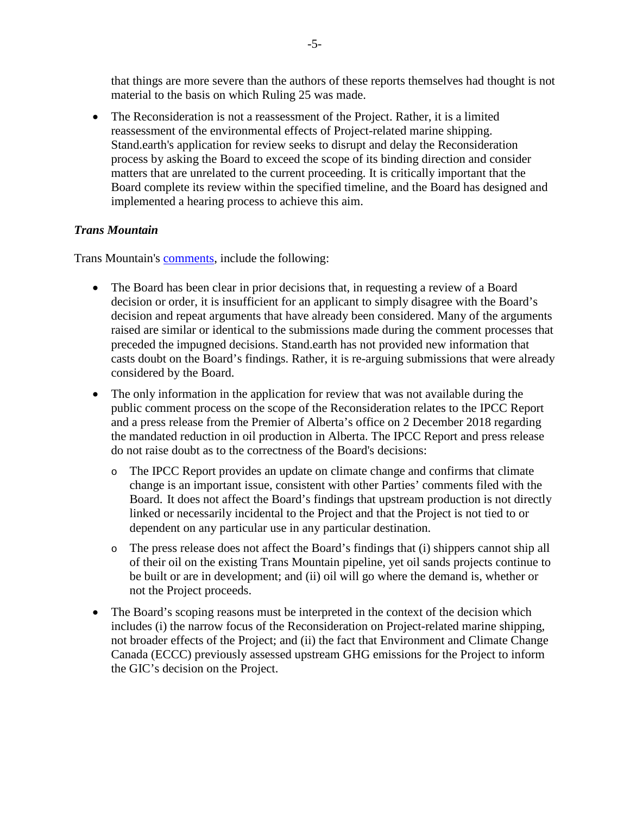that things are more severe than the authors of these reports themselves had thought is not material to the basis on which Ruling 25 was made.

• The Reconsideration is not a reassessment of the Project. Rather, it is a limited reassessment of the environmental effects of Project-related marine shipping. Stand.earth's application for review seeks to disrupt and delay the Reconsideration process by asking the Board to exceed the scope of its binding direction and consider matters that are unrelated to the current proceeding. It is critically important that the Board complete its review within the specified timeline, and the Board has designed and implemented a hearing process to achieve this aim.

#### *Trans Mountain*

Trans Mountain's [comments,](https://apps.neb-one.gc.ca/REGDOCS/Item/Filing/A97705) include the following:

- The Board has been clear in prior decisions that, in requesting a review of a Board decision or order, it is insufficient for an applicant to simply disagree with the Board's decision and repeat arguments that have already been considered. Many of the arguments raised are similar or identical to the submissions made during the comment processes that preceded the impugned decisions. Stand.earth has not provided new information that casts doubt on the Board's findings. Rather, it is re-arguing submissions that were already considered by the Board.
- The only information in the application for review that was not available during the public comment process on the scope of the Reconsideration relates to the IPCC Report and a press release from the Premier of Alberta's office on 2 December 2018 regarding the mandated reduction in oil production in Alberta. The IPCC Report and press release do not raise doubt as to the correctness of the Board's decisions:
	- o The IPCC Report provides an update on climate change and confirms that climate change is an important issue, consistent with other Parties' comments filed with the Board. It does not affect the Board's findings that upstream production is not directly linked or necessarily incidental to the Project and that the Project is not tied to or dependent on any particular use in any particular destination.
	- o The press release does not affect the Board's findings that (i) shippers cannot ship all of their oil on the existing Trans Mountain pipeline, yet oil sands projects continue to be built or are in development; and (ii) oil will go where the demand is, whether or not the Project proceeds.
- The Board's scoping reasons must be interpreted in the context of the decision which includes (i) the narrow focus of the Reconsideration on Project-related marine shipping, not broader effects of the Project; and (ii) the fact that Environment and Climate Change Canada (ECCC) previously assessed upstream GHG emissions for the Project to inform the GIC's decision on the Project.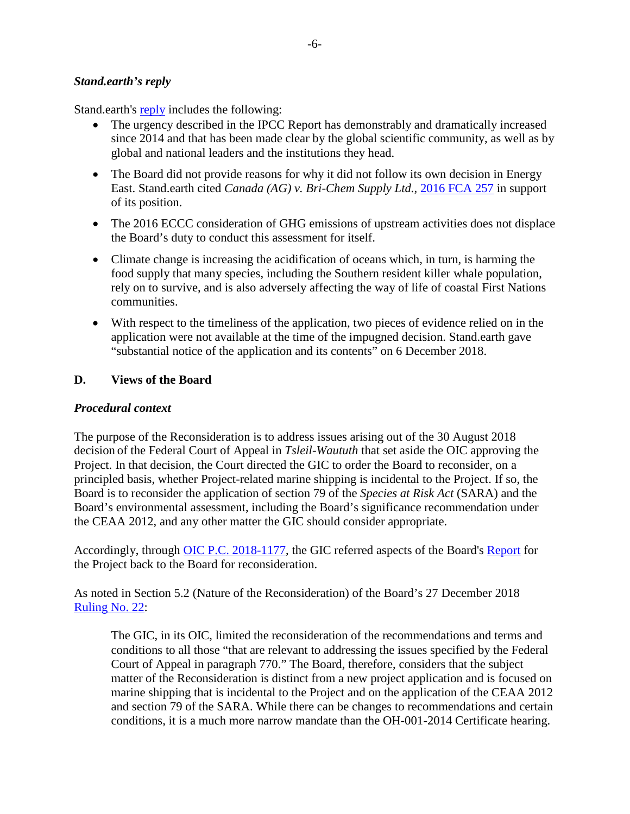#### *Stand.earth's reply*

Stand.earth's [reply](https://apps.neb-one.gc.ca/REGDOCS/Item/Filing/A97763) includes the following:

- The urgency described in the IPCC Report has demonstrably and dramatically increased since 2014 and that has been made clear by the global scientific community, as well as by global and national leaders and the institutions they head.
- The Board did not provide reasons for why it did not follow its own decision in Energy East. Stand.earth cited *Canada (AG) v. Bri-Chem Supply Ltd.*, [2016 FCA 257](https://www.canlii.org/en/ca/fca/doc/2016/2016fca257/2016fca257.pdf) in support of its position.
- The 2016 ECCC consideration of GHG emissions of upstream activities does not displace the Board's duty to conduct this assessment for itself.
- Climate change is increasing the acidification of oceans which, in turn, is harming the food supply that many species, including the Southern resident killer whale population, rely on to survive, and is also adversely affecting the way of life of coastal First Nations communities.
- With respect to the timeliness of the application, two pieces of evidence relied on in the application were not available at the time of the impugned decision. Stand.earth gave "substantial notice of the application and its contents" on 6 December 2018.

## **D. Views of the Board**

#### *Procedural context*

The purpose of the Reconsideration is to address issues arising out of the 30 August 2018 decision of the Federal Court of Appeal in *Tsleil-Waututh* that set aside the OIC approving the Project. In that decision, the Court directed the GIC to order the Board to reconsider, on a principled basis, whether Project-related marine shipping is incidental to the Project. If so, the Board is to reconsider the application of section 79 of the *Species at Risk Act* (SARA) and the Board's environmental assessment, including the Board's significance recommendation under the CEAA 2012, and any other matter the GIC should consider appropriate.

Accordingly, through [OIC P.C. 2018-1177,](https://apps.neb-one.gc.ca/REGDOCS/File/Download/3614024) the GIC referred aspects of the Board's [Report](https://apps.neb-one.gc.ca/REGDOCS/Item/View/2969696) for the Project back to the Board for reconsideration.

As noted in Section 5.2 (Nature of the Reconsideration) of the Board's 27 December 2018 [Ruling No. 22:](https://apps.neb-one.gc.ca/REGDOCS/Item/View/3745011)

The GIC, in its OIC, limited the reconsideration of the recommendations and terms and conditions to all those "that are relevant to addressing the issues specified by the Federal Court of Appeal in paragraph 770." The Board, therefore, considers that the subject matter of the Reconsideration is distinct from a new project application and is focused on marine shipping that is incidental to the Project and on the application of the CEAA 2012 and section 79 of the SARA. While there can be changes to recommendations and certain conditions, it is a much more narrow mandate than the OH-001-2014 Certificate hearing.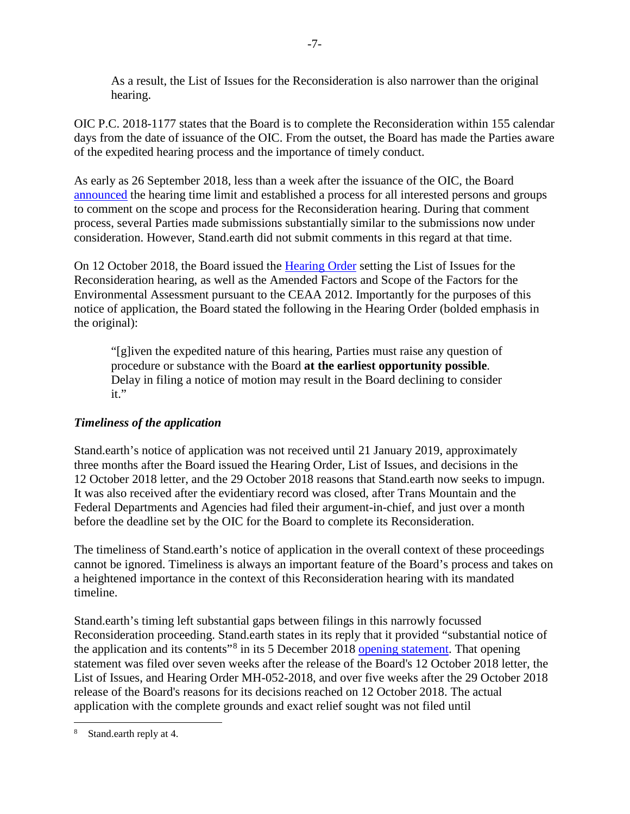As a result, the List of Issues for the Reconsideration is also narrower than the original hearing.

OIC P.C. 2018-1177 states that the Board is to complete the Reconsideration within 155 calendar days from the date of issuance of the OIC. From the outset, the Board has made the Parties aware of the expedited hearing process and the importance of timely conduct.

As early as 26 September 2018, less than a week after the issuance of the OIC, the Board [announced](https://apps.neb-one.gc.ca/REGDOCS/Item/View/3612379) the hearing time limit and established a process for all interested persons and groups to comment on the scope and process for the Reconsideration hearing. During that comment process, several Parties made submissions substantially similar to the submissions now under consideration. However, Stand.earth did not submit comments in this regard at that time.

On 12 October 2018, the Board issued the [Hearing Order](https://apps.neb-one.gc.ca/REGDOCS/Item/View/3620050) setting the List of Issues for the Reconsideration hearing, as well as the Amended Factors and Scope of the Factors for the Environmental Assessment pursuant to the CEAA 2012. Importantly for the purposes of this notice of application, the Board stated the following in the Hearing Order (bolded emphasis in the original):

"[g]iven the expedited nature of this hearing, Parties must raise any question of procedure or substance with the Board **at the earliest opportunity possible**. Delay in filing a notice of motion may result in the Board declining to consider it."

## *Timeliness of the application*

Stand.earth's notice of application was not received until 21 January 2019, approximately three months after the Board issued the Hearing Order, List of Issues, and decisions in the 12 October 2018 letter, and the 29 October 2018 reasons that Stand.earth now seeks to impugn. It was also received after the evidentiary record was closed, after Trans Mountain and the Federal Departments and Agencies had filed their argument-in-chief, and just over a month before the deadline set by the OIC for the Board to complete its Reconsideration.

The timeliness of Stand.earth's notice of application in the overall context of these proceedings cannot be ignored. Timeliness is always an important feature of the Board's process and takes on a heightened importance in the context of this Reconsideration hearing with its mandated timeline.

Stand.earth's timing left substantial gaps between filings in this narrowly focussed Reconsideration proceeding. Stand.earth states in its reply that it provided "substantial notice of the application and its contents"[8](#page-6-0) in its 5 December 2018 [opening statement.](https://apps.neb-one.gc.ca/REGDOCS/Item/View/3718836) That opening statement was filed over seven weeks after the release of the Board's 12 October 2018 letter, the List of Issues, and Hearing Order MH-052-2018, and over five weeks after the 29 October 2018 release of the Board's reasons for its decisions reached on 12 October 2018. The actual application with the complete grounds and exact relief sought was not filed until

<span id="page-6-0"></span> $\overline{a}$ Stand.earth reply at 4.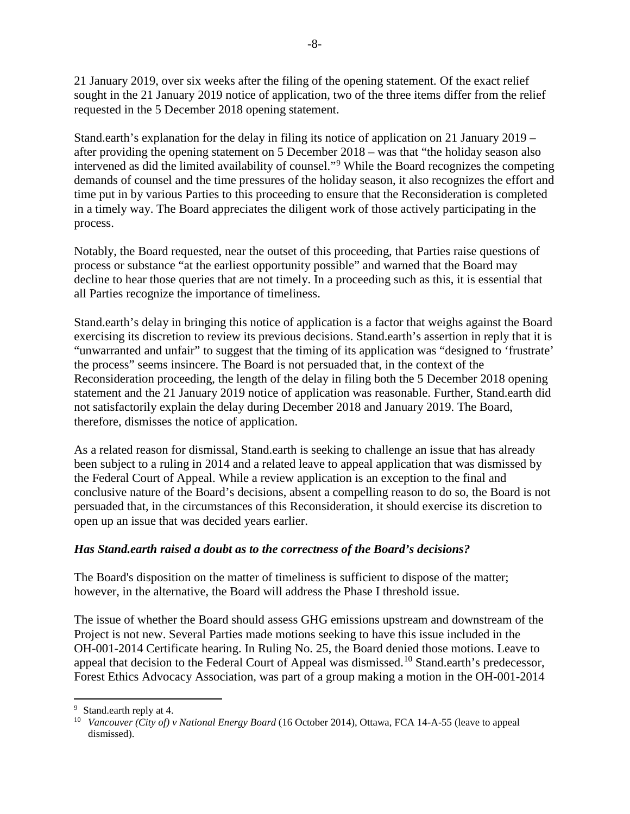21 January 2019, over six weeks after the filing of the opening statement. Of the exact relief sought in the 21 January 2019 notice of application, two of the three items differ from the relief requested in the 5 December 2018 opening statement.

Stand.earth's explanation for the delay in filing its notice of application on 21 January 2019 – after providing the opening statement on 5 December 2018 – was that "the holiday season also intervened as did the limited availability of counsel."[9](#page-7-0) While the Board recognizes the competing demands of counsel and the time pressures of the holiday season, it also recognizes the effort and time put in by various Parties to this proceeding to ensure that the Reconsideration is completed in a timely way. The Board appreciates the diligent work of those actively participating in the process.

Notably, the Board requested, near the outset of this proceeding, that Parties raise questions of process or substance "at the earliest opportunity possible" and warned that the Board may decline to hear those queries that are not timely. In a proceeding such as this, it is essential that all Parties recognize the importance of timeliness.

Stand.earth's delay in bringing this notice of application is a factor that weighs against the Board exercising its discretion to review its previous decisions. Stand.earth's assertion in reply that it is "unwarranted and unfair" to suggest that the timing of its application was "designed to 'frustrate' the process" seems insincere. The Board is not persuaded that, in the context of the Reconsideration proceeding, the length of the delay in filing both the 5 December 2018 opening statement and the 21 January 2019 notice of application was reasonable. Further, Stand.earth did not satisfactorily explain the delay during December 2018 and January 2019. The Board, therefore, dismisses the notice of application.

As a related reason for dismissal, Stand.earth is seeking to challenge an issue that has already been subject to a ruling in 2014 and a related leave to appeal application that was dismissed by the Federal Court of Appeal. While a review application is an exception to the final and conclusive nature of the Board's decisions, absent a compelling reason to do so, the Board is not persuaded that, in the circumstances of this Reconsideration, it should exercise its discretion to open up an issue that was decided years earlier.

## *Has Stand.earth raised a doubt as to the correctness of the Board's decisions?*

The Board's disposition on the matter of timeliness is sufficient to dispose of the matter; however, in the alternative, the Board will address the Phase I threshold issue.

The issue of whether the Board should assess GHG emissions upstream and downstream of the Project is not new. Several Parties made motions seeking to have this issue included in the OH-001-2014 Certificate hearing. In Ruling No. 25, the Board denied those motions. Leave to appeal that decision to the Federal Court of Appeal was dismissed.<sup>[10](#page-7-1)</sup> Stand.earth's predecessor, Forest Ethics Advocacy Association, was part of a group making a motion in the OH-001-2014

<span id="page-7-0"></span> $\overline{\phantom{a}}$ <sup>9</sup> Stand.earth reply at 4.

<span id="page-7-1"></span><sup>10</sup> *Vancouver (City of) v National Energy Board* (16 October 2014), Ottawa, FCA 14-A-55 (leave to appeal dismissed).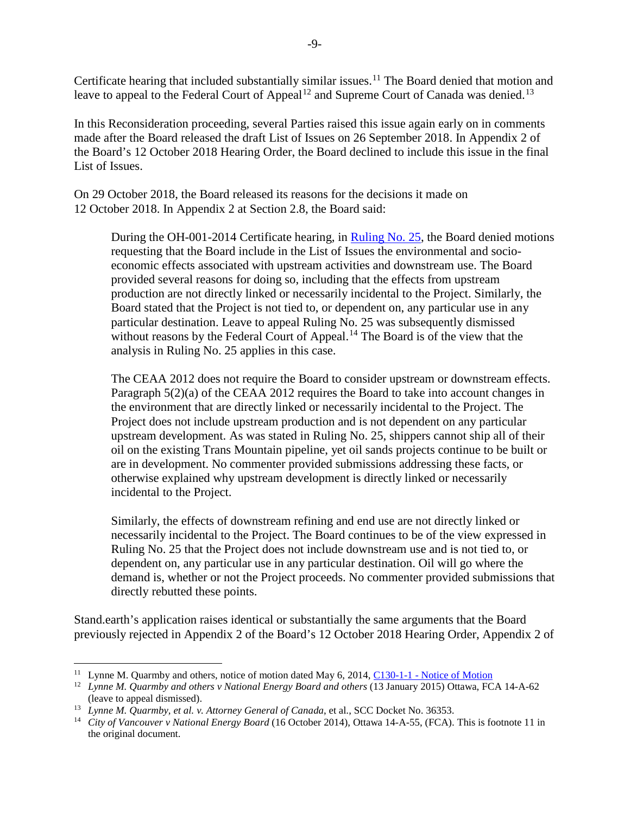Certificate hearing that included substantially similar issues.<sup>[11](#page-8-0)</sup> The Board denied that motion and leave to appeal to the Federal Court of Appeal<sup>[12](#page-8-1)</sup> and Supreme Court of Canada was denied.<sup>[13](#page-8-2)</sup>

In this Reconsideration proceeding, several Parties raised this issue again early on in comments made after the Board released the draft List of Issues on 26 September 2018. In Appendix 2 of the Board's 12 October 2018 Hearing Order, the Board declined to include this issue in the final List of Issues.

On 29 October 2018, the Board released its [reasons f](https://apps.neb-one.gc.ca/REGDOCS/Item/View/3646400)or the decisions it made on 12 October 2018. In Appendix 2 at Section 2.8, the Board said:

During the OH-001-2014 Certificate hearing, in [Ruling No. 25,](https://apps.neb-one.gc.ca/REGDOCS/Item/View/2487600) the Board denied motions requesting that the Board include in the List of Issues the environmental and socioeconomic effects associated with upstream activities and downstream use. The Board provided several reasons for doing so, including that the effects from upstream production are not directly linked or necessarily incidental to the Project. Similarly, the Board stated that the Project is not tied to, or dependent on, any particular use in any particular destination. Leave to appeal Ruling No. 25 was subsequently dismissed without reasons by the Federal Court of Appeal.<sup>[14](#page-8-3)</sup> The Board is of the view that the analysis in Ruling No. 25 applies in this case.

The CEAA 2012 does not require the Board to consider upstream or downstream effects. Paragraph 5(2)(a) of the CEAA 2012 requires the Board to take into account changes in the environment that are directly linked or necessarily incidental to the Project. The Project does not include upstream production and is not dependent on any particular upstream development. As was stated in Ruling No. 25, shippers cannot ship all of their oil on the existing Trans Mountain pipeline, yet oil sands projects continue to be built or are in development. No commenter provided submissions addressing these facts, or otherwise explained why upstream development is directly linked or necessarily incidental to the Project.

Similarly, the effects of downstream refining and end use are not directly linked or necessarily incidental to the Project. The Board continues to be of the view expressed in Ruling No. 25 that the Project does not include downstream use and is not tied to, or dependent on, any particular use in any particular destination. Oil will go where the demand is, whether or not the Project proceeds. No commenter provided submissions that directly rebutted these points.

Stand.earth's application raises identical or substantially the same arguments that the Board previously rejected in Appendix 2 of the Board's 12 October 2018 Hearing Order, Appendix 2 of

 $\overline{\phantom{a}}$ 

<span id="page-8-0"></span><sup>&</sup>lt;sup>11</sup> Lynne M. Quarmby and others, notice of motion dated May 6, 2014, C130-1-1 - [Notice of Motion](https://apps.neb-one.gc.ca/REGDOCS/Item/View/2452371) <sup>12</sup> *Lynne M. Ouarmby and others v National Energy Board and others* (13 January 2015) Ottawa, FCA 14-A-62

<span id="page-8-1"></span><sup>(</sup>leave to appeal dismissed).

<span id="page-8-2"></span><sup>&</sup>lt;sup>13</sup> *Lynne M. Quarmby, et al. v. Attorney General of Canada, et al., SCC Docket No. 36353.* 

<span id="page-8-3"></span><sup>&</sup>lt;sup>14</sup> *City of Vancouver v National Energy Board* (16 October 2014), Ottawa 14-A-55, (FCA). This is footnote 11 in the original document.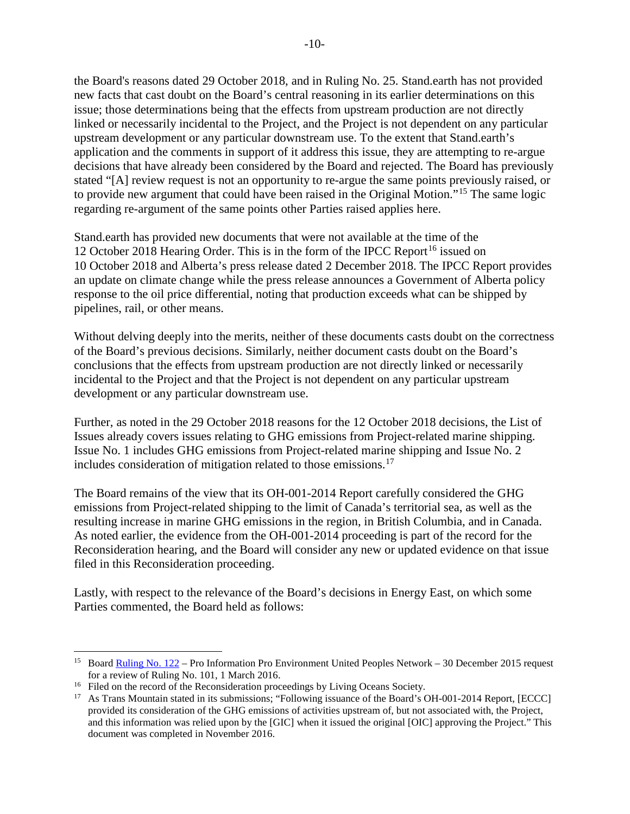the Board's reasons dated 29 October 2018, and in Ruling No. 25. Stand.earth has not provided new facts that cast doubt on the Board's central reasoning in its earlier determinations on this issue; those determinations being that the effects from upstream production are not directly linked or necessarily incidental to the Project, and the Project is not dependent on any particular upstream development or any particular downstream use. To the extent that Stand.earth's application and the comments in support of it address this issue, they are attempting to re-argue decisions that have already been considered by the Board and rejected. The Board has previously stated "[A] review request is not an opportunity to re-argue the same points previously raised, or to provide new argument that could have been raised in the Original Motion."[15](#page-9-0) The same logic regarding re-argument of the same points other Parties raised applies here.

Stand.earth has provided new documents that were not available at the time of the 12 October 2018 Hearing Order. This is in the form of the IPCC Report<sup>[16](#page-9-1)</sup> issued on 10 October 2018 and Alberta's press release dated 2 December 2018. The IPCC Report provides an update on climate change while the press release announces a Government of Alberta policy response to the oil price differential, noting that production exceeds what can be shipped by pipelines, rail, or other means.

Without delving deeply into the merits, neither of these documents casts doubt on the correctness of the Board's previous decisions. Similarly, neither document casts doubt on the Board's conclusions that the effects from upstream production are not directly linked or necessarily incidental to the Project and that the Project is not dependent on any particular upstream development or any particular downstream use.

Further, as noted in the 29 October 2018 reasons for the 12 October 2018 decisions, the List of Issues already covers issues relating to GHG emissions from Project-related marine shipping. Issue No. 1 includes GHG emissions from Project-related marine shipping and Issue No. 2 includes consideration of mitigation related to those emissions.<sup>[17](#page-9-2)</sup>

The Board remains of the view that its OH-001-2014 Report carefully considered the GHG emissions from Project-related shipping to the limit of Canada's territorial sea, as well as the resulting increase in marine GHG emissions in the region, in British Columbia, and in Canada. As noted earlier, the evidence from the OH-001-2014 proceeding is part of the record for the Reconsideration hearing, and the Board will consider any new or updated evidence on that issue filed in this Reconsideration proceeding.

Lastly, with respect to the relevance of the Board's decisions in Energy East, on which some Parties commented, the Board held as follows:

 $\overline{a}$ 

<span id="page-9-0"></span><sup>&</sup>lt;sup>15</sup> Board **Ruling No. 122** – Pro Information Pro Environment United Peoples Network – 30 December 2015 request for a review of Ruling No. 101, 1 March 2016.

<span id="page-9-1"></span><sup>&</sup>lt;sup>16</sup> Filed on the record of the Reconsideration proceedings by Living Oceans Society.

<span id="page-9-2"></span><sup>&</sup>lt;sup>17</sup> As Trans Mountain stated in its submissions; "Following issuance of the Board's OH-001-2014 Report, [ECCC] provided its consideration of the GHG emissions of activities upstream of, but not associated with, the Project, and this information was relied upon by the [GIC] when it issued the original [OIC] approving the Project." This document was completed in November 2016.